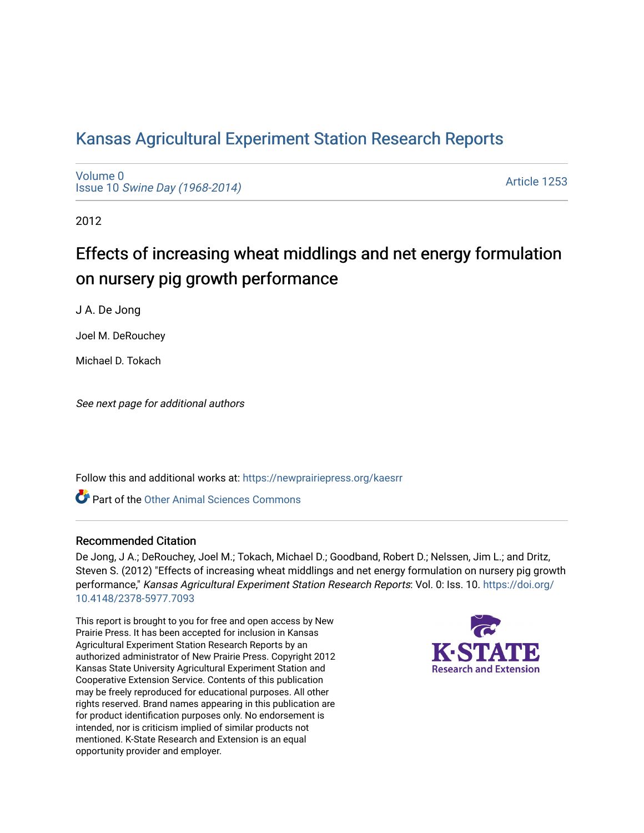# [Kansas Agricultural Experiment Station Research Reports](https://newprairiepress.org/kaesrr)

[Volume 0](https://newprairiepress.org/kaesrr/vol0) Issue 10 [Swine Day \(1968-2014\)](https://newprairiepress.org/kaesrr/vol0/iss10)

[Article 1253](https://newprairiepress.org/kaesrr/vol0/iss10/1253) 

2012

# Effects of increasing wheat middlings and net energy formulation on nursery pig growth performance

J A. De Jong

Joel M. DeRouchey

Michael D. Tokach

See next page for additional authors

Follow this and additional works at: [https://newprairiepress.org/kaesrr](https://newprairiepress.org/kaesrr?utm_source=newprairiepress.org%2Fkaesrr%2Fvol0%2Fiss10%2F1253&utm_medium=PDF&utm_campaign=PDFCoverPages) 

**C** Part of the [Other Animal Sciences Commons](http://network.bepress.com/hgg/discipline/82?utm_source=newprairiepress.org%2Fkaesrr%2Fvol0%2Fiss10%2F1253&utm_medium=PDF&utm_campaign=PDFCoverPages)

#### Recommended Citation

De Jong, J A.; DeRouchey, Joel M.; Tokach, Michael D.; Goodband, Robert D.; Nelssen, Jim L.; and Dritz, Steven S. (2012) "Effects of increasing wheat middlings and net energy formulation on nursery pig growth performance," Kansas Agricultural Experiment Station Research Reports: Vol. 0: Iss. 10. [https://doi.org/](https://doi.org/10.4148/2378-5977.7093) [10.4148/2378-5977.7093](https://doi.org/10.4148/2378-5977.7093)

This report is brought to you for free and open access by New Prairie Press. It has been accepted for inclusion in Kansas Agricultural Experiment Station Research Reports by an authorized administrator of New Prairie Press. Copyright 2012 Kansas State University Agricultural Experiment Station and Cooperative Extension Service. Contents of this publication may be freely reproduced for educational purposes. All other rights reserved. Brand names appearing in this publication are for product identification purposes only. No endorsement is intended, nor is criticism implied of similar products not mentioned. K-State Research and Extension is an equal opportunity provider and employer.

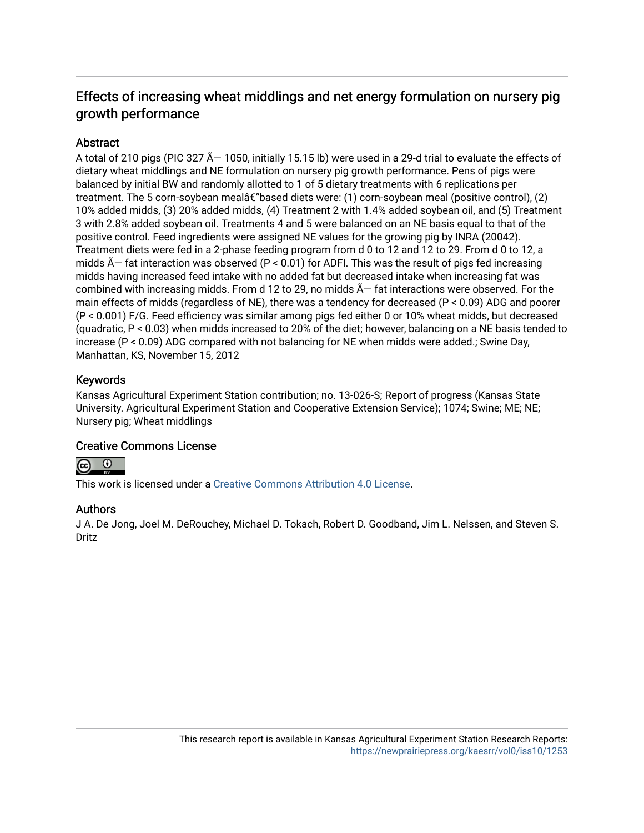# Effects of increasing wheat middlings and net energy formulation on nursery pig growth performance

# **Abstract**

A total of 210 pigs (PIC 327  $\tilde{A}$  – 1050, initially 15.15 lb) were used in a 29-d trial to evaluate the effects of dietary wheat middlings and NE formulation on nursery pig growth performance. Pens of pigs were balanced by initial BW and randomly allotted to 1 of 5 dietary treatments with 6 replications per treatment. The 5 corn-soybean mealâ $\epsilon$ "based diets were: (1) corn-soybean meal (positive control), (2) 10% added midds, (3) 20% added midds, (4) Treatment 2 with 1.4% added soybean oil, and (5) Treatment 3 with 2.8% added soybean oil. Treatments 4 and 5 were balanced on an NE basis equal to that of the positive control. Feed ingredients were assigned NE values for the growing pig by INRA (20042). Treatment diets were fed in a 2-phase feeding program from d 0 to 12 and 12 to 29. From d 0 to 12, a midds  $\tilde{A}$  – fat interaction was observed (P < 0.01) for ADFI. This was the result of pigs fed increasing midds having increased feed intake with no added fat but decreased intake when increasing fat was combined with increasing midds. From d 12 to 29, no midds  $\tilde{A}$  fat interactions were observed. For the main effects of midds (regardless of NE), there was a tendency for decreased (P < 0.09) ADG and poorer (P < 0.001) F/G. Feed efficiency was similar among pigs fed either 0 or 10% wheat midds, but decreased (quadratic, P < 0.03) when midds increased to 20% of the diet; however, balancing on a NE basis tended to increase (P < 0.09) ADG compared with not balancing for NE when midds were added.; Swine Day, Manhattan, KS, November 15, 2012

#### Keywords

Kansas Agricultural Experiment Station contribution; no. 13-026-S; Report of progress (Kansas State University. Agricultural Experiment Station and Cooperative Extension Service); 1074; Swine; ME; NE; Nursery pig; Wheat middlings

#### Creative Commons License



This work is licensed under a [Creative Commons Attribution 4.0 License](https://creativecommons.org/licenses/by/4.0/).

#### Authors

J A. De Jong, Joel M. DeRouchey, Michael D. Tokach, Robert D. Goodband, Jim L. Nelssen, and Steven S. Dritz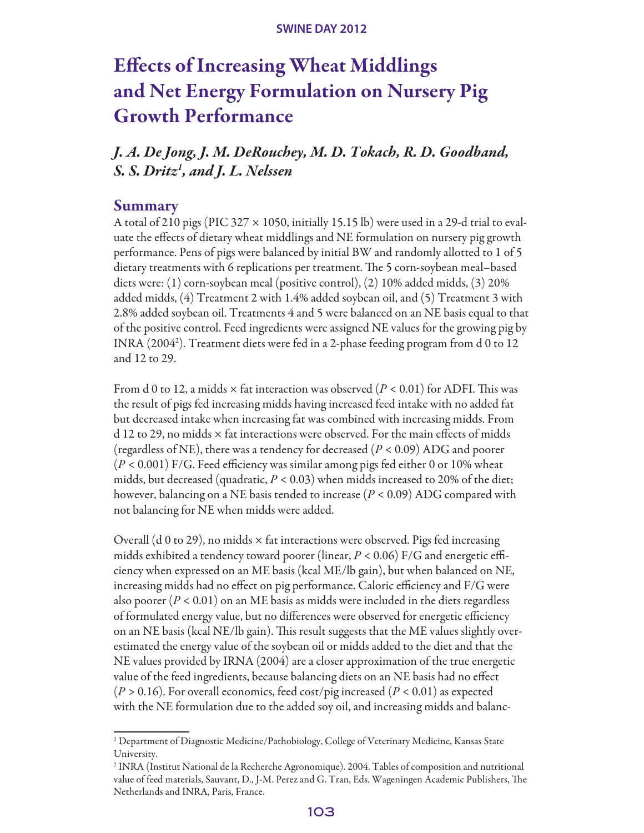# Effects of Increasing Wheat Middlings and Net Energy Formulation on Nursery Pig Growth Performance

*J. A. De Jong, J. M. DeRouchey, M. D. Tokach, R. D. Goodband, S. S. Dritz1 , and J. L. Nelssen*

#### Summary

A total of 210 pigs (PIC 327  $\times$  1050, initially 15.15 lb) were used in a 29-d trial to evaluate the effects of dietary wheat middlings and NE formulation on nursery pig growth performance. Pens of pigs were balanced by initial BW and randomly allotted to 1 of 5 dietary treatments with 6 replications per treatment. The 5 corn-soybean meal–based diets were: (1) corn-soybean meal (positive control), (2) 10% added midds, (3) 20% added midds, (4) Treatment 2 with 1.4% added soybean oil, and (5) Treatment 3 with 2.8% added soybean oil. Treatments 4 and 5 were balanced on an NE basis equal to that of the positive control. Feed ingredients were assigned NE values for the growing pig by INRA (20042 ). Treatment diets were fed in a 2-phase feeding program from d 0 to 12 and 12 to 29.

From d 0 to 12, a midds × fat interaction was observed (*P <* 0.01) for ADFI. This was the result of pigs fed increasing midds having increased feed intake with no added fat but decreased intake when increasing fat was combined with increasing midds. From d 12 to 29, no midds × fat interactions were observed. For the main effects of midds (regardless of NE), there was a tendency for decreased (*P <* 0.09) ADG and poorer (*P <* 0.001) F/G. Feed efficiency was similar among pigs fed either 0 or 10% wheat midds, but decreased (quadratic, *P <* 0.03) when midds increased to 20% of the diet; however, balancing on a NE basis tended to increase (*P <* 0.09) ADG compared with not balancing for NE when midds were added.

Overall (d 0 to 29), no midds  $\times$  fat interactions were observed. Pigs fed increasing midds exhibited a tendency toward poorer (linear, *P <* 0.06) F/G and energetic efficiency when expressed on an ME basis (kcal ME/lb gain), but when balanced on NE, increasing midds had no effect on pig performance. Caloric efficiency and F/G were also poorer ( $P < 0.01$ ) on an ME basis as midds were included in the diets regardless of formulated energy value, but no differences were observed for energetic efficiency on an NE basis (kcal NE/lb gain). This result suggests that the ME values slightly overestimated the energy value of the soybean oil or midds added to the diet and that the NE values provided by IRNA (2004) are a closer approximation of the true energetic value of the feed ingredients, because balancing diets on an NE basis had no effect (*P >* 0.16). For overall economics, feed cost/pig increased (*P <* 0.01) as expected with the NE formulation due to the added soy oil, and increasing midds and balanc-

<sup>&</sup>lt;sup>1</sup> Department of Diagnostic Medicine/Pathobiology, College of Veterinary Medicine, Kansas State University.

<sup>2</sup> INRA (Institut National de la Recherche Agronomique). 2004. Tables of composition and nutritional value of feed materials, Sauvant, D., J-M. Perez and G. Tran, Eds. Wageningen Academic Publishers, The Netherlands and INRA, Paris, France.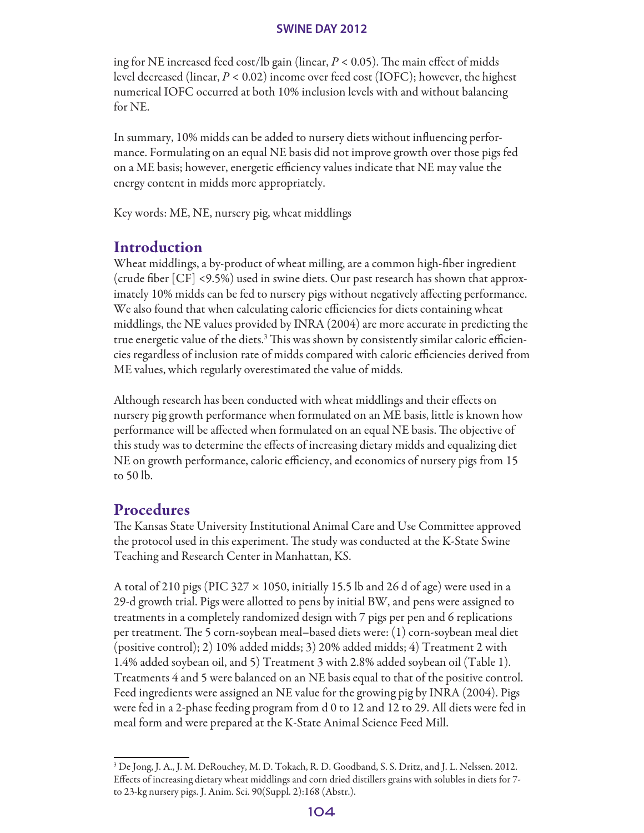ing for NE increased feed cost/lb gain (linear, *P <* 0.05). The main effect of midds level decreased (linear, *P <* 0.02) income over feed cost (IOFC); however, the highest numerical IOFC occurred at both 10% inclusion levels with and without balancing for NE.

In summary, 10% midds can be added to nursery diets without influencing performance. Formulating on an equal NE basis did not improve growth over those pigs fed on a ME basis; however, energetic efficiency values indicate that NE may value the energy content in midds more appropriately.

Key words: ME, NE, nursery pig, wheat middlings

# Introduction

Wheat middlings, a by-product of wheat milling, are a common high-fiber ingredient (crude fiber [CF] <9.5%) used in swine diets. Our past research has shown that approximately 10% midds can be fed to nursery pigs without negatively affecting performance. We also found that when calculating caloric efficiencies for diets containing wheat middlings, the NE values provided by INRA (2004) are more accurate in predicting the true energetic value of the diets.3 This was shown by consistently similar caloric efficiencies regardless of inclusion rate of midds compared with caloric efficiencies derived from ME values, which regularly overestimated the value of midds.

Although research has been conducted with wheat middlings and their effects on nursery pig growth performance when formulated on an ME basis, little is known how performance will be affected when formulated on an equal NE basis. The objective of this study was to determine the effects of increasing dietary midds and equalizing diet NE on growth performance, caloric efficiency, and economics of nursery pigs from 15 to 50 lb.

# Procedures

The Kansas State University Institutional Animal Care and Use Committee approved the protocol used in this experiment. The study was conducted at the K-State Swine Teaching and Research Center in Manhattan, KS.

A total of 210 pigs (PIC 327  $\times$  1050, initially 15.5 lb and 26 d of age) were used in a 29-d growth trial. Pigs were allotted to pens by initial BW, and pens were assigned to treatments in a completely randomized design with 7 pigs per pen and 6 replications per treatment. The 5 corn-soybean meal–based diets were: (1) corn-soybean meal diet (positive control); 2) 10% added midds; 3) 20% added midds; 4) Treatment 2 with 1.4% added soybean oil, and 5) Treatment 3 with 2.8% added soybean oil (Table 1). Treatments 4 and 5 were balanced on an NE basis equal to that of the positive control. Feed ingredients were assigned an NE value for the growing pig by INRA (2004). Pigs were fed in a 2-phase feeding program from d 0 to 12 and 12 to 29. All diets were fed in meal form and were prepared at the K-State Animal Science Feed Mill.

<sup>3</sup> De Jong, J. A., J. M. DeRouchey, M. D. Tokach, R. D. Goodband, S. S. Dritz, and J. L. Nelssen. 2012. Effects of increasing dietary wheat middlings and corn dried distillers grains with solubles in diets for 7 to 23-kg nursery pigs. J. Anim. Sci. 90(Suppl. 2):168 (Abstr.).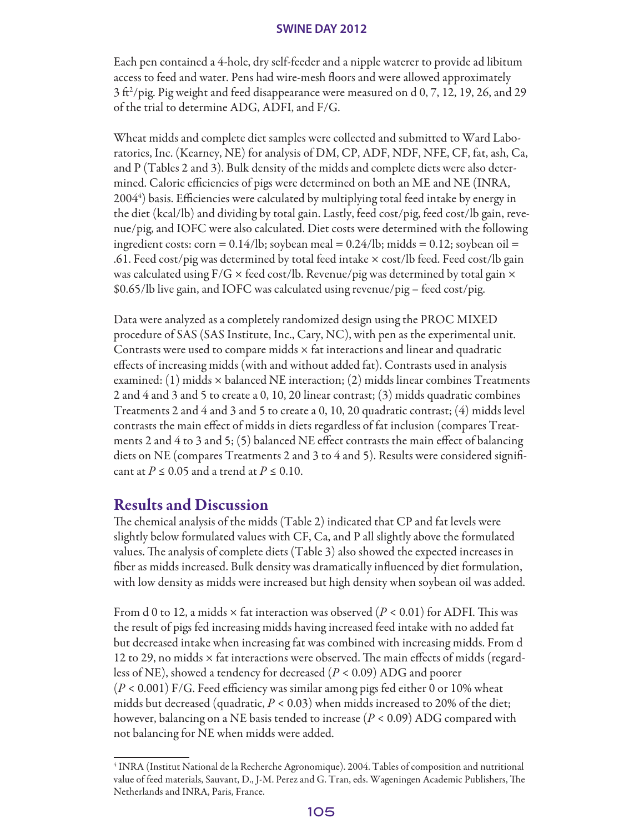Each pen contained a 4-hole, dry self-feeder and a nipple waterer to provide ad libitum access to feed and water. Pens had wire-mesh floors and were allowed approximately  $3 \text{ ft}^2\text{/}$ pig. Pig weight and feed disappearance were measured on d 0, 7, 12, 19, 26, and 29 of the trial to determine ADG, ADFI, and F/G.

Wheat midds and complete diet samples were collected and submitted to Ward Laboratories, Inc. (Kearney, NE) for analysis of DM, CP, ADF, NDF, NFE, CF, fat, ash, Ca, and P (Tables 2 and 3). Bulk density of the midds and complete diets were also determined. Caloric efficiencies of pigs were determined on both an ME and NE (INRA, 2004<sup>4</sup>) basis. Efficiencies were calculated by multiplying total feed intake by energy in the diet (kcal/lb) and dividing by total gain. Lastly, feed cost/pig, feed cost/lb gain, revenue/pig, and IOFC were also calculated. Diet costs were determined with the following ingredient costs: corn =  $0.14$ /lb; soybean meal =  $0.24$ /lb; midds = 0.12; soybean oil = .61. Feed cost/pig was determined by total feed intake × cost/lb feed. Feed cost/lb gain was calculated using  $F/G \times \text{feed cost}$ /lb. Revenue/pig was determined by total gain  $\times$ \$0.65/lb live gain, and IOFC was calculated using revenue/pig – feed cost/pig.

Data were analyzed as a completely randomized design using the PROC MIXED procedure of SAS (SAS Institute, Inc., Cary, NC), with pen as the experimental unit. Contrasts were used to compare midds  $\times$  fat interactions and linear and quadratic effects of increasing midds (with and without added fat). Contrasts used in analysis examined:  $(1)$  midds  $\times$  balanced NE interaction;  $(2)$  midds linear combines Treatments 2 and 4 and 3 and 5 to create a 0, 10, 20 linear contrast; (3) midds quadratic combines Treatments 2 and 4 and 3 and 5 to create a 0, 10, 20 quadratic contrast;  $(4)$  midds level contrasts the main effect of midds in diets regardless of fat inclusion (compares Treatments 2 and 4 to 3 and 5; (5) balanced NE effect contrasts the main effect of balancing diets on NE (compares Treatments 2 and 3 to 4 and 5). Results were considered significant at *P ≤* 0.05 and a trend at *P ≤* 0.10.

# Results and Discussion

The chemical analysis of the midds (Table 2) indicated that CP and fat levels were slightly below formulated values with CF, Ca, and P all slightly above the formulated values. The analysis of complete diets (Table 3) also showed the expected increases in fiber as midds increased. Bulk density was dramatically influenced by diet formulation, with low density as midds were increased but high density when soybean oil was added.

From d 0 to 12, a midds × fat interaction was observed (*P <* 0.01) for ADFI. This was the result of pigs fed increasing midds having increased feed intake with no added fat but decreased intake when increasing fat was combined with increasing midds. From d 12 to 29, no midds  $\times$  fat interactions were observed. The main effects of midds (regardless of NE), showed a tendency for decreased (*P <* 0.09) ADG and poorer (*P <* 0.001) F/G. Feed efficiency was similar among pigs fed either 0 or 10% wheat midds but decreased (quadratic, *P <* 0.03) when midds increased to 20% of the diet; however, balancing on a NE basis tended to increase (*P <* 0.09) ADG compared with not balancing for NE when midds were added.

<sup>4</sup> INRA (Institut National de la Recherche Agronomique). 2004. Tables of composition and nutritional value of feed materials, Sauvant, D., J-M. Perez and G. Tran, eds. Wageningen Academic Publishers, The Netherlands and INRA, Paris, France.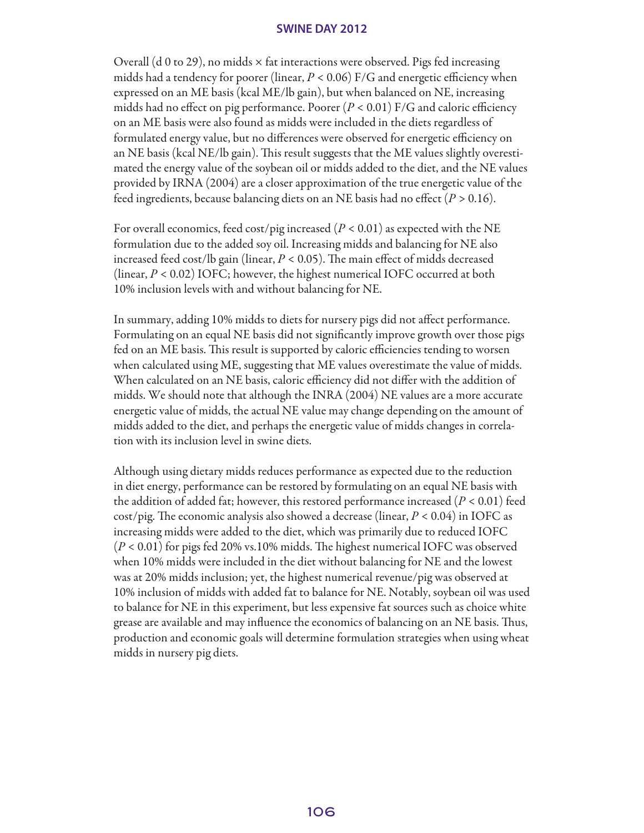Overall (d 0 to 29), no midds  $\times$  fat interactions were observed. Pigs fed increasing midds had a tendency for poorer (linear, *P <* 0.06) F/G and energetic efficiency when expressed on an ME basis (kcal ME/lb gain), but when balanced on NE, increasing midds had no effect on pig performance. Poorer  $(P < 0.01)$  F/G and caloric efficiency on an ME basis were also found as midds were included in the diets regardless of formulated energy value, but no differences were observed for energetic efficiency on an NE basis (kcal NE/lb gain). This result suggests that the ME values slightly overestimated the energy value of the soybean oil or midds added to the diet, and the NE values provided by IRNA (2004) are a closer approximation of the true energetic value of the feed ingredients, because balancing diets on an NE basis had no effect (*P >* 0.16).

For overall economics, feed cost/pig increased (*P <* 0.01) as expected with the NE formulation due to the added soy oil. Increasing midds and balancing for NE also increased feed cost/lb gain (linear, *P <* 0.05). The main effect of midds decreased (linear, *P <* 0.02) IOFC; however, the highest numerical IOFC occurred at both 10% inclusion levels with and without balancing for NE.

In summary, adding 10% midds to diets for nursery pigs did not affect performance. Formulating on an equal NE basis did not significantly improve growth over those pigs fed on an ME basis. This result is supported by caloric efficiencies tending to worsen when calculated using ME, suggesting that ME values overestimate the value of midds. When calculated on an NE basis, caloric efficiency did not differ with the addition of midds. We should note that although the INRA (2004) NE values are a more accurate energetic value of midds, the actual NE value may change depending on the amount of midds added to the diet, and perhaps the energetic value of midds changes in correlation with its inclusion level in swine diets.

Although using dietary midds reduces performance as expected due to the reduction in diet energy, performance can be restored by formulating on an equal NE basis with the addition of added fat; however, this restored performance increased (*P <* 0.01) feed cost/pig. The economic analysis also showed a decrease (linear, *P <* 0.04) in IOFC as increasing midds were added to the diet, which was primarily due to reduced IOFC (*P* < 0.01) for pigs fed 20% vs.10% midds. The highest numerical IOFC was observed when 10% midds were included in the diet without balancing for NE and the lowest was at 20% midds inclusion; yet, the highest numerical revenue/pig was observed at 10% inclusion of midds with added fat to balance for NE. Notably, soybean oil was used to balance for NE in this experiment, but less expensive fat sources such as choice white grease are available and may influence the economics of balancing on an NE basis. Thus, production and economic goals will determine formulation strategies when using wheat midds in nursery pig diets.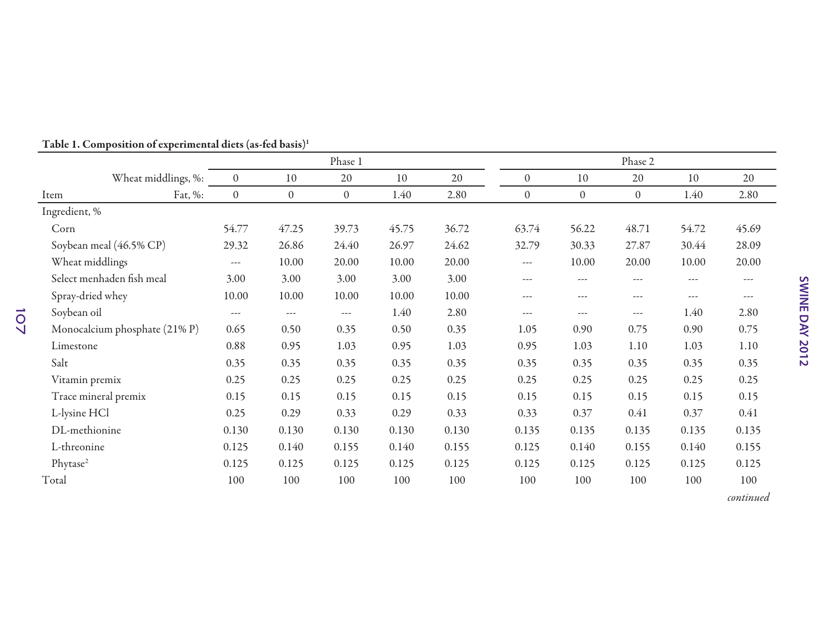|                               |                  |                  | Phase 1              |       |       |              |                  | Phase 2        |          |               |
|-------------------------------|------------------|------------------|----------------------|-------|-------|--------------|------------------|----------------|----------|---------------|
| Wheat middlings, %:           | $\boldsymbol{0}$ | 10               | 20                   | 10    | 20    | $\theta$     | 10               | 20             | 10       | 20            |
| Fat, %:<br>Item               | $\boldsymbol{0}$ | $\boldsymbol{0}$ | $\overline{0}$       | 1.40  | 2.80  | $\mathbf{0}$ | $\boldsymbol{0}$ | $\overline{0}$ | 1.40     | 2.80          |
| Ingredient, %                 |                  |                  |                      |       |       |              |                  |                |          |               |
| Corn                          | 54.77            | 47.25            | 39.73                | 45.75 | 36.72 | 63.74        | 56.22            | 48.71          | 54.72    | 45.69         |
| Soybean meal (46.5% CP)       | 29.32            | 26.86            | 24.40                | 26.97 | 24.62 | 32.79        | 30.33            | 27.87          | 30.44    | 28.09         |
| Wheat middlings               | $\cdots$         | 10.00            | 20.00                | 10.00 | 20.00 | $---$        | 10.00            | 20.00          | 10.00    | 20.00         |
| Select menhaden fish meal     | 3.00             | 3.00             | 3.00                 | 3.00  | 3.00  | $---$        | $---$            | ---            | $---$    | $\frac{1}{2}$ |
| Spray-dried whey              | 10.00            | 10.00            | 10.00                | 10.00 | 10.00 | $\cdots$     | ---              | ---            | $\cdots$ | ---           |
| Soybean oil                   | $\cdots$         | $\cdots$         | $\sim$ $\sim$ $\sim$ | 1.40  | 2.80  | $---$        | $\cdots$         | $---$          | 1.40     | 2.80          |
| Monocalcium phosphate (21% P) | 0.65             | 0.50             | 0.35                 | 0.50  | 0.35  | 1.05         | 0.90             | 0.75           | 0.90     | 0.75          |
| Limestone                     | 0.88             | 0.95             | 1.03                 | 0.95  | 1.03  | 0.95         | 1.03             | 1.10           | 1.03     | $1.10\,$      |
| Salt                          | 0.35             | 0.35             | 0.35                 | 0.35  | 0.35  | 0.35         | 0.35             | 0.35           | 0.35     | 0.35          |
| Vitamin premix                | 0.25             | 0.25             | 0.25                 | 0.25  | 0.25  | 0.25         | 0.25             | 0.25           | 0.25     | 0.25          |
| Trace mineral premix          | 0.15             | 0.15             | 0.15                 | 0.15  | 0.15  | 0.15         | 0.15             | 0.15           | 0.15     | 0.15          |
| L-lysine HCl                  | 0.25             | 0.29             | 0.33                 | 0.29  | 0.33  | 0.33         | 0.37             | 0.41           | 0.37     | 0.41          |
| DL-methionine                 | 0.130            | 0.130            | 0.130                | 0.130 | 0.130 | 0.135        | 0.135            | 0.135          | 0.135    | 0.135         |
| L-threonine                   | 0.125            | 0.140            | 0.155                | 0.140 | 0.155 | 0.125        | 0.140            | 0.155          | 0.140    | 0.155         |
| Phytase <sup>2</sup>          | 0.125            | 0.125            | 0.125                | 0.125 | 0.125 | 0.125        | 0.125            | 0.125          | 0.125    | 0.125         |
| Total                         | 100              | 100              | 100                  | 100   | 100   | 100          | 100              | 100            | 100      | 100           |

### Table 1. Composition of experimental diets (as-fed basis)1

*continued*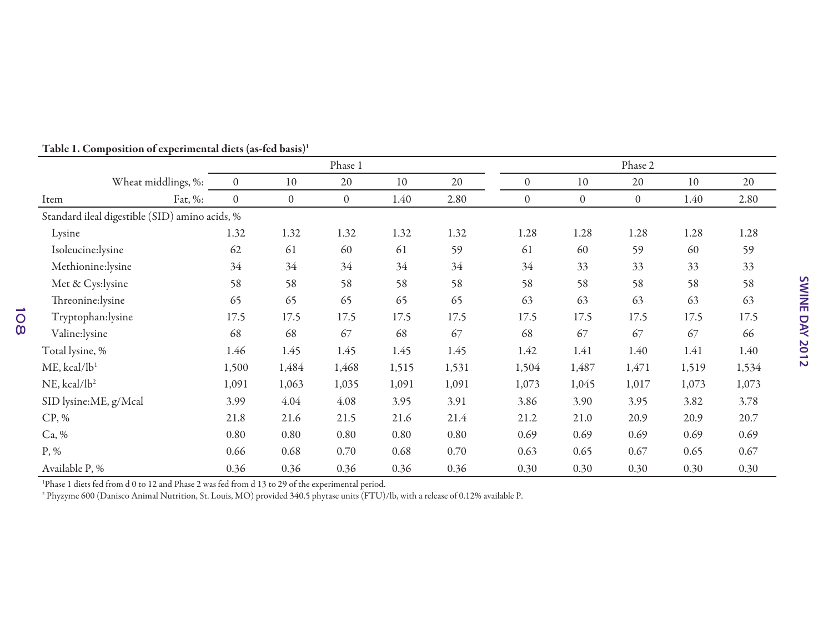|                                                |                  |                | Phase 1        |       |       |                  |                | Phase 2      |       |       |
|------------------------------------------------|------------------|----------------|----------------|-------|-------|------------------|----------------|--------------|-------|-------|
| Wheat middlings, %:                            | $\boldsymbol{0}$ | 10             | 20             | 10    | 20    | $\boldsymbol{0}$ | 10             | 20           | 10    | 20    |
| Fat, %:<br>Item                                | $\boldsymbol{0}$ | $\overline{0}$ | $\overline{0}$ | 1.40  | 2.80  | $\mathbf{0}$     | $\overline{0}$ | $\mathbf{0}$ | 1.40  | 2.80  |
| Standard ileal digestible (SID) amino acids, % |                  |                |                |       |       |                  |                |              |       |       |
| Lysine                                         | 1.32             | 1.32           | 1.32           | 1.32  | 1.32  | 1.28             | 1.28           | 1.28         | 1.28  | 1.28  |
| Isoleucine:lysine                              | 62               | 61             | 60             | 61    | 59    | 61               | 60             | 59           | 60    | 59    |
| Methionine:lysine                              | 34               | 34             | 34             | 34    | 34    | 34               | 33             | 33           | 33    | 33    |
| Met & Cys:lysine                               | 58               | 58             | 58             | 58    | 58    | 58               | 58             | 58           | 58    | 58    |
| Threonine:lysine                               | 65               | 65             | 65             | 65    | 65    | 63               | 63             | 63           | 63    | 63    |
| Tryptophan:lysine                              | 17.5             | 17.5           | 17.5           | 17.5  | 17.5  | 17.5             | 17.5           | 17.5         | 17.5  | 17.5  |
| Valine:lysine                                  | 68               | 68             | 67             | 68    | 67    | 68               | 67             | 67           | 67    | 66    |
| Total lysine, %                                | 1.46             | 1.45           | 1.45           | 1.45  | 1.45  | 1.42             | 1.41           | 1.40         | 1.41  | 1.40  |
| $ME$ , kcal/l $b1$                             | 1,500            | 1,484          | 1,468          | 1,515 | 1,531 | 1,504            | 1,487          | 1,471        | 1,519 | 1,534 |
| $NE$ , kcal/ $lb2$                             | 1,091            | 1,063          | 1,035          | 1,091 | 1,091 | 1,073            | 1,045          | 1,017        | 1,073 | 1,073 |
| SID lysine:ME, g/Mcal                          | 3.99             | 4.04           | 4.08           | 3.95  | 3.91  | 3.86             | 3.90           | 3.95         | 3.82  | 3.78  |
| CP, %                                          | 21.8             | 21.6           | 21.5           | 21.6  | 21.4  | 21.2             | 21.0           | 20.9         | 20.9  | 20.7  |
| Ca, %                                          | 0.80             | 0.80           | 0.80           | 0.80  | 0.80  | 0.69             | 0.69           | 0.69         | 0.69  | 0.69  |
| $P, \%$                                        | 0.66             | 0.68           | 0.70           | 0.68  | 0.70  | 0.63             | 0.65           | 0.67         | 0.65  | 0.67  |
| Available P, %                                 | 0.36             | 0.36           | 0.36           | 0.36  | 0.36  | 0.30             | 0.30           | 0.30         | 0.30  | 0.30  |

Table 1. Composition of experimental diets (as-fed basis)1

108

1Phase 1 diets fed from d 0 to 12 and Phase 2 was fed from d 13 to 29 of the experimental period.

2 Phyzyme 600 (Danisco Animal Nutrition, St. Louis, MO) provided 340.5 phytase units (FTU)/lb, with a release of 0.12% available P.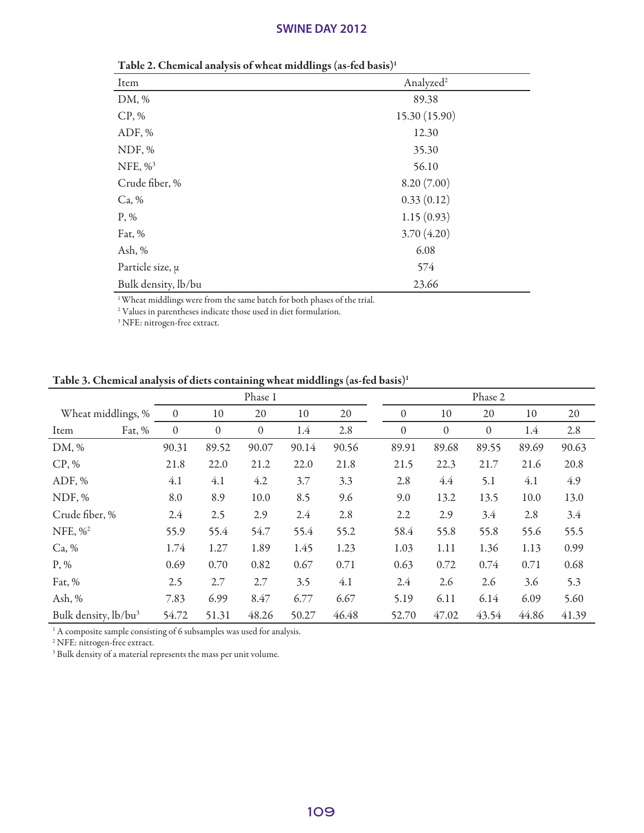| Twic 2. Chemieur anulysis of wheat middlings (as fea basis) |                       |  |  |  |  |  |  |  |  |
|-------------------------------------------------------------|-----------------------|--|--|--|--|--|--|--|--|
| Item                                                        | Analyzed <sup>2</sup> |  |  |  |  |  |  |  |  |
| DM, %                                                       | 89.38                 |  |  |  |  |  |  |  |  |
| CP, %                                                       | 15.30 (15.90)         |  |  |  |  |  |  |  |  |
| ADF, %                                                      | 12.30                 |  |  |  |  |  |  |  |  |
| NDF, %                                                      | 35.30                 |  |  |  |  |  |  |  |  |
| NFE, $\%$ <sup>3</sup>                                      | 56.10                 |  |  |  |  |  |  |  |  |
| Crude fiber, %                                              | 8.20(7.00)            |  |  |  |  |  |  |  |  |
| Ca, %                                                       | 0.33(0.12)            |  |  |  |  |  |  |  |  |
| $P, \%$                                                     | 1.15(0.93)            |  |  |  |  |  |  |  |  |
| Fat, %                                                      | 3.70(4.20)            |  |  |  |  |  |  |  |  |
| Ash, $%$                                                    | 6.08                  |  |  |  |  |  |  |  |  |
| Particle size, $\mu$                                        | 574                   |  |  |  |  |  |  |  |  |
| Bulk density, lb/bu                                         | 23.66                 |  |  |  |  |  |  |  |  |
|                                                             |                       |  |  |  |  |  |  |  |  |

Table 2. Chemical analysis of wheat middlings (as-fed basis)1

 $\footnotesize\relax{1}$  Wheat middlings were from the same batch for both phases of the trial.

2 Values in parentheses indicate those used in diet formulation.

3 NFE: nitrogen-free extract.

Table 3. Chemical analysis of diets containing wheat middlings (as-fed basis)1

|                                  |  | Phase 1          |                  |  |              |  |       |       | Phase 2 |          |  |                  |  |                  |  |       |  |       |
|----------------------------------|--|------------------|------------------|--|--------------|--|-------|-------|---------|----------|--|------------------|--|------------------|--|-------|--|-------|
| Wheat middlings, %               |  | $\mathbf{0}$     | 10               |  | 20           |  | 10    | 20    |         | $\theta$ |  | 10               |  | 20               |  | 10    |  | 20    |
| Fat, %<br>Item                   |  | $\boldsymbol{0}$ | $\boldsymbol{0}$ |  | $\mathbf{0}$ |  | 1.4   | 2.8   |         | $\theta$ |  | $\boldsymbol{0}$ |  | $\boldsymbol{0}$ |  | 1.4   |  | 2.8   |
| DM, %                            |  | 90.31            | 89.52            |  | 90.07        |  | 90.14 | 90.56 |         | 89.91    |  | 89.68            |  | 89.55            |  | 89.69 |  | 90.63 |
| CP, %                            |  | 21.8             | 22.0             |  | 21.2         |  | 22.0  | 21.8  |         | 21.5     |  | 22.3             |  | 21.7             |  | 21.6  |  | 20.8  |
| ADF, %                           |  | 4.1              | 4.1              |  | 4.2          |  | 3.7   | 3.3   |         | 2.8      |  | 4.4              |  | 5.1              |  | 4.1   |  | 4.9   |
| NDF, %                           |  | 8.0              | 8.9              |  | 10.0         |  | 8.5   | 9.6   |         | 9.0      |  | 13.2             |  | 13.5             |  | 10.0  |  | 13.0  |
| Crude fiber, %                   |  | 2.4              | 2.5              |  | 2.9          |  | 2.4   | 2.8   |         | 2.2      |  | 2.9              |  | 3.4              |  | 2.8   |  | 3.4   |
| NFE, $\frac{9}{6}$               |  | 55.9             | 55.4             |  | 54.7         |  | 55.4  | 55.2  |         | 58.4     |  | 55.8             |  | 55.8             |  | 55.6  |  | 55.5  |
| Ca, %                            |  | 1.74             | 1.27             |  | 1.89         |  | 1.45  | 1.23  |         | 1.03     |  | 1.11             |  | 1.36             |  | 1.13  |  | 0.99  |
| $P, \%$                          |  | 0.69             | 0.70             |  | 0.82         |  | 0.67  | 0.71  |         | 0.63     |  | 0.72             |  | 0.74             |  | 0.71  |  | 0.68  |
| Fat, %                           |  | 2.5              | 2.7              |  | 2.7          |  | 3.5   | 4.1   |         | 2.4      |  | 2.6              |  | 2.6              |  | 3.6   |  | 5.3   |
| Ash, $%$                         |  | 7.83             | 6.99             |  | 8.47         |  | 6.77  | 6.67  |         | 5.19     |  | 6.11             |  | 6.14             |  | 6.09  |  | 5.60  |
| Bulk density, lb/bu <sup>3</sup> |  | 54.72            | 51.31            |  | 48.26        |  | 50.27 | 46.48 |         | 52.70    |  | 47.02            |  | 43.54            |  | 44.86 |  | 41.39 |

<sup>1</sup> A composite sample consisting of 6 subsamples was used for analysis.

2 NFE: nitrogen-free extract.

<sup>3</sup> Bulk density of a material represents the mass per unit volume.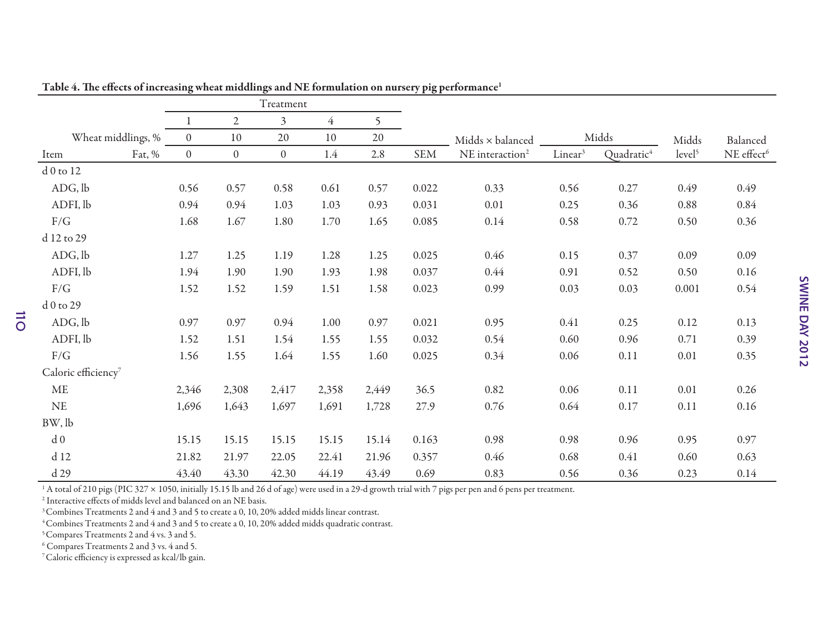|                                 |                |                  | Treatment      |                |       |            |                             |                                   |       |                    |                        |
|---------------------------------|----------------|------------------|----------------|----------------|-------|------------|-----------------------------|-----------------------------------|-------|--------------------|------------------------|
|                                 | 1              | $\mathbf{2}$     | $\overline{3}$ | $\overline{4}$ | 5     |            |                             |                                   |       |                    |                        |
| Wheat middlings, %              | $\theta$       | 10               | 20             | 10             | 20    |            | Midds × balanced            |                                   | Midds | Midds              | Balanced               |
| Fat, %<br>Item                  | $\overline{0}$ | $\boldsymbol{0}$ | $\overline{0}$ | 1.4            | 2.8   | <b>SEM</b> | NE interaction <sup>2</sup> | Linear <sup>3</sup><br>Quadratic4 |       | level <sup>5</sup> | NE effect <sup>6</sup> |
| d 0 to 12                       |                |                  |                |                |       |            |                             |                                   |       |                    |                        |
| ADG, lb                         | 0.56           | 0.57             | 0.58           | 0.61           | 0.57  | 0.022      | 0.33                        | 0.56                              | 0.27  | 0.49               | 0.49                   |
| ADFI, lb                        | 0.94           | 0.94             | 1.03           | 1.03           | 0.93  | 0.031      | $0.01\,$                    | 0.25                              | 0.36  | 0.88               | 0.84                   |
| F/G                             | 1.68           | 1.67             | 1.80           | 1.70           | 1.65  | 0.085      | 0.14                        | 0.58                              | 0.72  | 0.50               | 0.36                   |
| d 12 to 29                      |                |                  |                |                |       |            |                             |                                   |       |                    |                        |
| ADG, lb                         | 1.27           | 1.25             | 1.19           | 1.28           | 1.25  | 0.025      | 0.46                        | 0.15                              | 0.37  | 0.09               | 0.09                   |
| ADFI, lb                        | 1.94           | 1.90             | 1.90           | 1.93           | 1.98  | 0.037      | 0.44                        | 0.91                              | 0.52  | 0.50               | 0.16                   |
| $\rm F/G$                       | 1.52           | 1.52             | 1.59           | 1.51           | 1.58  | 0.023      | 0.99                        | 0.03                              | 0.03  | 0.001              | 0.54                   |
| d 0 to 29                       |                |                  |                |                |       |            |                             |                                   |       |                    |                        |
| ADG, lb                         | 0.97           | 0.97             | 0.94           | 1.00           | 0.97  | 0.021      | 0.95                        | 0.41                              | 0.25  | 0.12               | 0.13                   |
| ADFI, lb                        | 1.52           | 1.51             | 1.54           | 1.55           | 1.55  | 0.032      | 0.54                        | 0.60                              | 0.96  | 0.71               | 0.39                   |
| F/G                             | 1.56           | 1.55             | 1.64           | 1.55           | 1.60  | 0.025      | 0.34                        | 0.06                              | 0.11  | 0.01               | 0.35                   |
| Caloric efficiency <sup>7</sup> |                |                  |                |                |       |            |                             |                                   |       |                    |                        |
| $\operatorname{ME}$             | 2,346          | 2,308            | 2,417          | 2,358          | 2,449 | 36.5       | 0.82                        | 0.06                              | 0.11  | 0.01               | 0.26                   |
| $\rm NE$                        | 1,696          | 1,643            | 1,697          | 1,691          | 1,728 | 27.9       | 0.76                        | 0.64                              | 0.17  | 0.11               | $0.16\,$               |
| BW, lb                          |                |                  |                |                |       |            |                             |                                   |       |                    |                        |
| d <sub>0</sub>                  | 15.15          | 15.15            | 15.15          | 15.15          | 15.14 | 0.163      | 0.98                        | 0.98                              | 0.96  | 0.95               | 0.97                   |
| d 12                            | 21.82          | 21.97            | 22.05          | 22.41          | 21.96 | 0.357      | 0.46                        | 0.68                              | 0.41  | 0.60               | 0.63                   |
| d 29                            | 43.40          | 43.30            | 42.30          | 44.19          | 43.49 | 0.69       | 0.83                        | 0.56                              | 0.36  | 0.23               | 0.14                   |

Table 4. The effects of increasing wheat middlings and NE formulation on nursery pig performance<sup>1</sup>

<sup>1</sup> A total of 210 pigs (PIC 327 × 1050, initially 15.15 lb and 26 d of age) were used in a 29-d growth trial with 7 pigs per pen and 6 pens per treatment.

 $^{\rm 2}$  Interactive effects of midds level and balanced on an NE basis.

<sup>3</sup> Combines Treatments 2 and 4 and 3 and 5 to create a 0, 10, 20% added midds linear contrast.

4 Combines Treatments 2 and 4 and 3 and 5 to create a 0, 10, 20% added midds quadratic contrast.

<sup>5</sup> Compares Treatments 2 and 4 vs. 3 and 5.

110

6 Compares Treatments 2 and 3 vs. 4 and 5.

7 Caloric efficiency is expressed as kcal/lb gain.